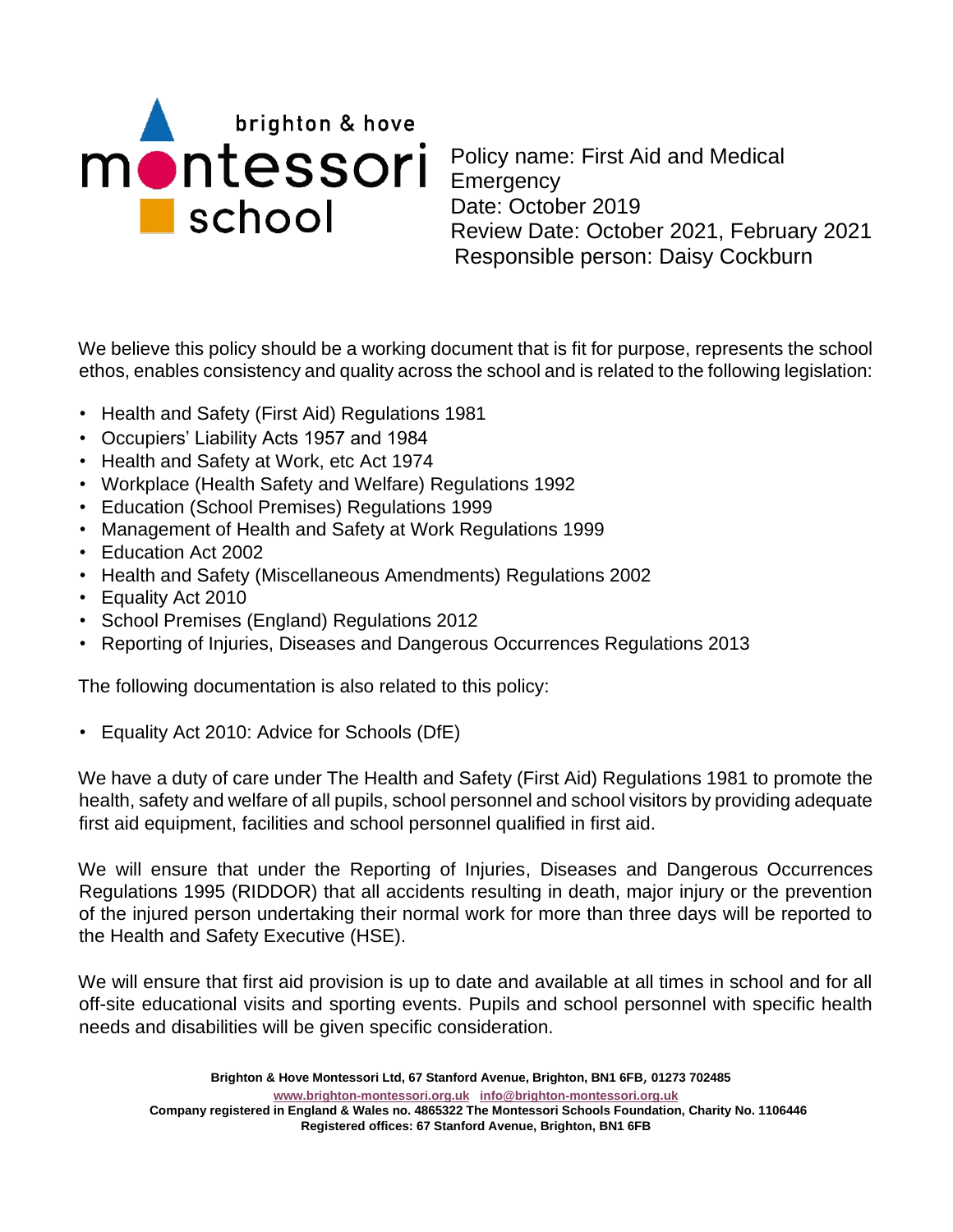

Policy name: First Aid and Medical **Emergency** Date: October 2019 Review Date: October 2021, February 2021 Responsible person: Daisy Cockburn

We believe this policy should be a working document that is fit for purpose, represents the school ethos, enables consistency and quality across the school and is related to the following legislation:

- Health and Safety (First Aid) Regulations 1981
- Occupiers' Liability Acts 1957 and 1984
- Health and Safety at Work, etc Act 1974
- Workplace (Health Safety and Welfare) Regulations 1992
- Education (School Premises) Regulations 1999
- Management of Health and Safety at Work Regulations 1999
- Education Act 2002
- Health and Safety (Miscellaneous Amendments) Regulations 2002
- Equality Act 2010
- School Premises (England) Regulations 2012
- Reporting of Injuries, Diseases and Dangerous Occurrences Regulations 2013

The following documentation is also related to this policy:

• Equality Act 2010: Advice for Schools (DfE)

We have a duty of care under The Health and Safety (First Aid) Regulations 1981 to promote the health, safety and welfare of all pupils, school personnel and school visitors by providing adequate first aid equipment, facilities and school personnel qualified in first aid.

We will ensure that under the Reporting of Injuries, Diseases and Dangerous Occurrences Regulations 1995 (RIDDOR) that all accidents resulting in death, major injury or the prevention of the injured person undertaking their normal work for more than three days will be reported to the Health and Safety Executive (HSE).

We will ensure that first aid provision is up to date and available at all times in school and for all off-site educational visits and sporting events. Pupils and school personnel with specific health needs and disabilities will be given specific consideration.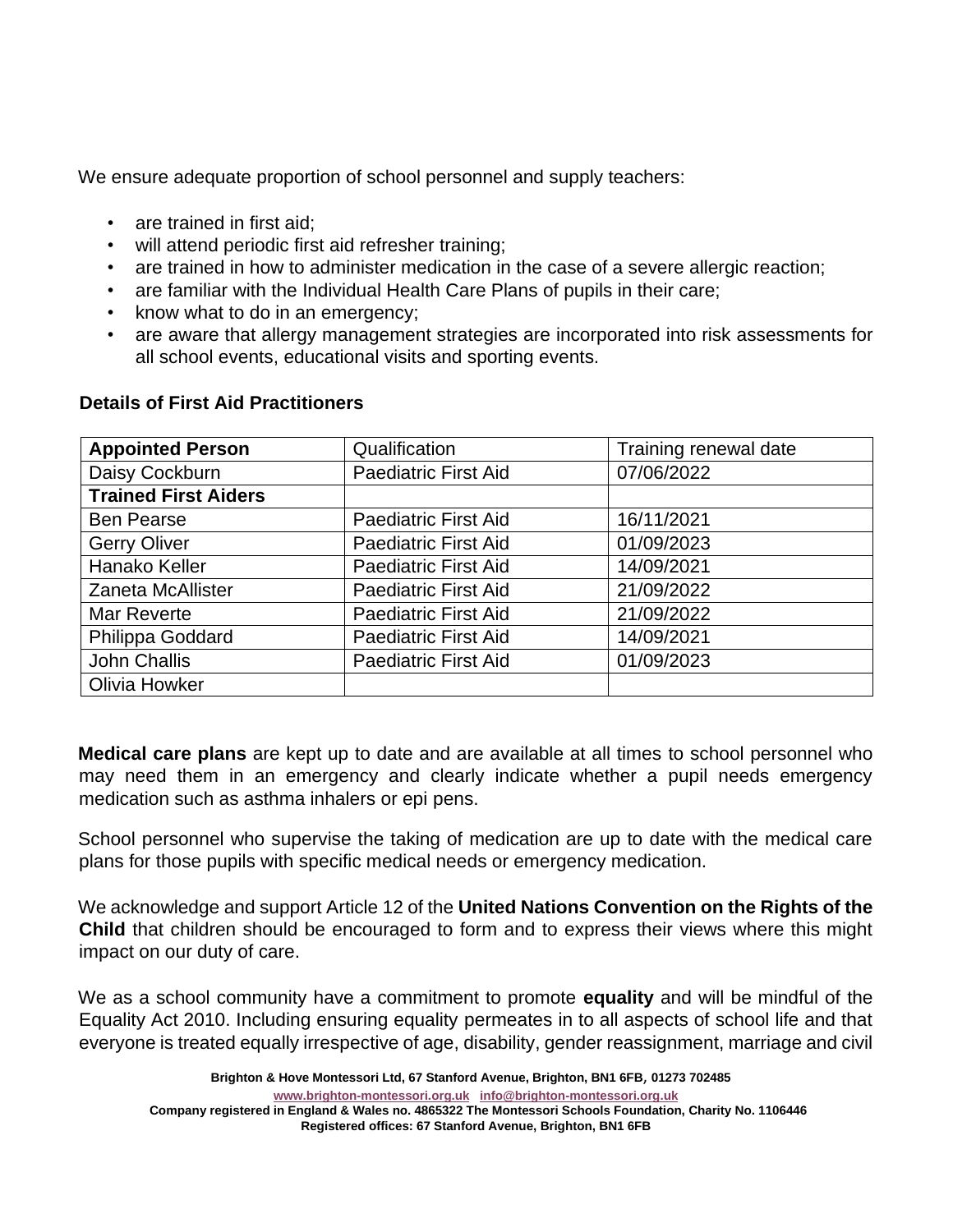We ensure adequate proportion of school personnel and supply teachers:

- are trained in first aid;
- will attend periodic first aid refresher training;
- are trained in how to administer medication in the case of a severe allergic reaction;
- are familiar with the Individual Health Care Plans of pupils in their care;
- know what to do in an emergency;
- are aware that allergy management strategies are incorporated into risk assessments for all school events, educational visits and sporting events.

| <b>Appointed Person</b>     | Qualification               | Training renewal date |  |
|-----------------------------|-----------------------------|-----------------------|--|
| Daisy Cockburn              | <b>Paediatric First Aid</b> | 07/06/2022            |  |
| <b>Trained First Aiders</b> |                             |                       |  |
| <b>Ben Pearse</b>           | <b>Paediatric First Aid</b> | 16/11/2021            |  |
| <b>Gerry Oliver</b>         | <b>Paediatric First Aid</b> | 01/09/2023            |  |
| Hanako Keller               | <b>Paediatric First Aid</b> | 14/09/2021            |  |
| <b>Zaneta McAllister</b>    | <b>Paediatric First Aid</b> | 21/09/2022            |  |
| Mar Reverte                 | <b>Paediatric First Aid</b> | 21/09/2022            |  |
| Philippa Goddard            | <b>Paediatric First Aid</b> | 14/09/2021            |  |
| John Challis                | <b>Paediatric First Aid</b> | 01/09/2023            |  |
| Olivia Howker               |                             |                       |  |

#### **Details of First Aid Practitioners**

**Medical care plans** are kept up to date and are available at all times to school personnel who may need them in an emergency and clearly indicate whether a pupil needs emergency medication such as asthma inhalers or epi pens.

School personnel who supervise the taking of medication are up to date with the medical care plans for those pupils with specific medical needs or emergency medication.

We acknowledge and support Article 12 of the **United Nations Convention on the Rights of the Child** that children should be encouraged to form and to express their views where this might impact on our duty of care.

We as a school community have a commitment to promote **equality** and will be mindful of the Equality Act 2010. Including ensuring equality permeates in to all aspects of school life and that everyone is treated equally irrespective of age, disability, gender reassignment, marriage and civil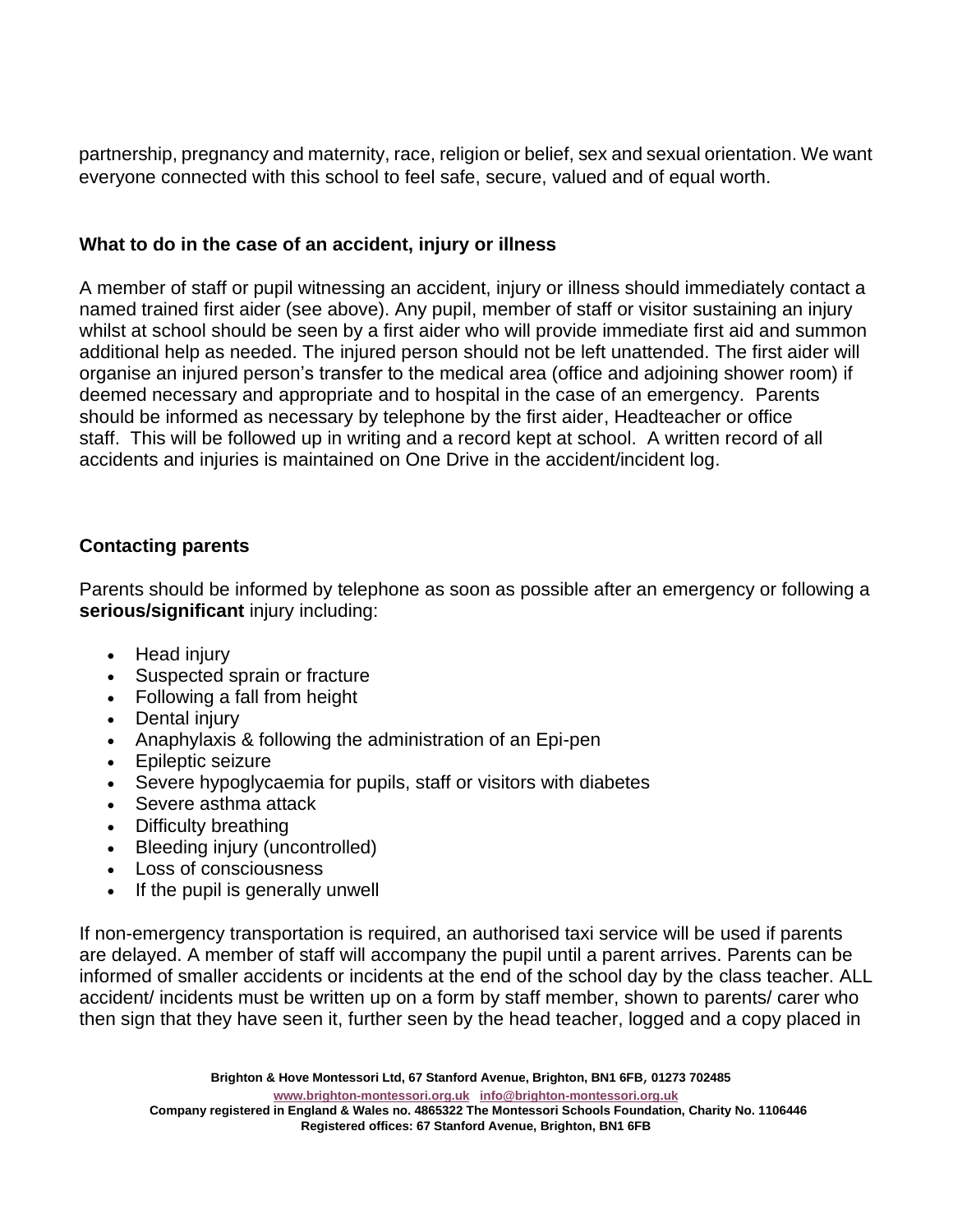partnership, pregnancy and maternity, race, religion or belief, sex and sexual orientation. We want everyone connected with this school to feel safe, secure, valued and of equal worth.

### **What to do in the case of an accident, injury or illness**

A member of staff or pupil witnessing an accident, injury or illness should immediately contact a named trained first aider (see above). Any pupil, member of staff or visitor sustaining an injury whilst at school should be seen by a first aider who will provide immediate first aid and summon additional help as needed. The injured person should not be left unattended. The first aider will organise an injured person's transfer to the medical area (office and adjoining shower room) if deemed necessary and appropriate and to hospital in the case of an emergency. Parents should be informed as necessary by telephone by the first aider, Headteacher or office staff. This will be followed up in writing and a record kept at school. A written record of all accidents and injuries is maintained on One Drive in the accident/incident log.

#### **Contacting parents**

Parents should be informed by telephone as soon as possible after an emergency or following a **serious/significant** injury including:

- Head injury
- Suspected sprain or fracture
- Following a fall from height
- Dental injury
- Anaphylaxis & following the administration of an Epi-pen
- Epileptic seizure
- Severe hypoglycaemia for pupils, staff or visitors with diabetes
- Severe asthma attack
- Difficulty breathing
- Bleeding injury (uncontrolled)
- Loss of consciousness
- If the pupil is generally unwell

If non-emergency transportation is required, an authorised taxi service will be used if parents are delayed. A member of staff will accompany the pupil until a parent arrives. Parents can be informed of smaller accidents or incidents at the end of the school day by the class teacher. ALL accident/ incidents must be written up on a form by staff member, shown to parents/ carer who then sign that they have seen it, further seen by the head teacher, logged and a copy placed in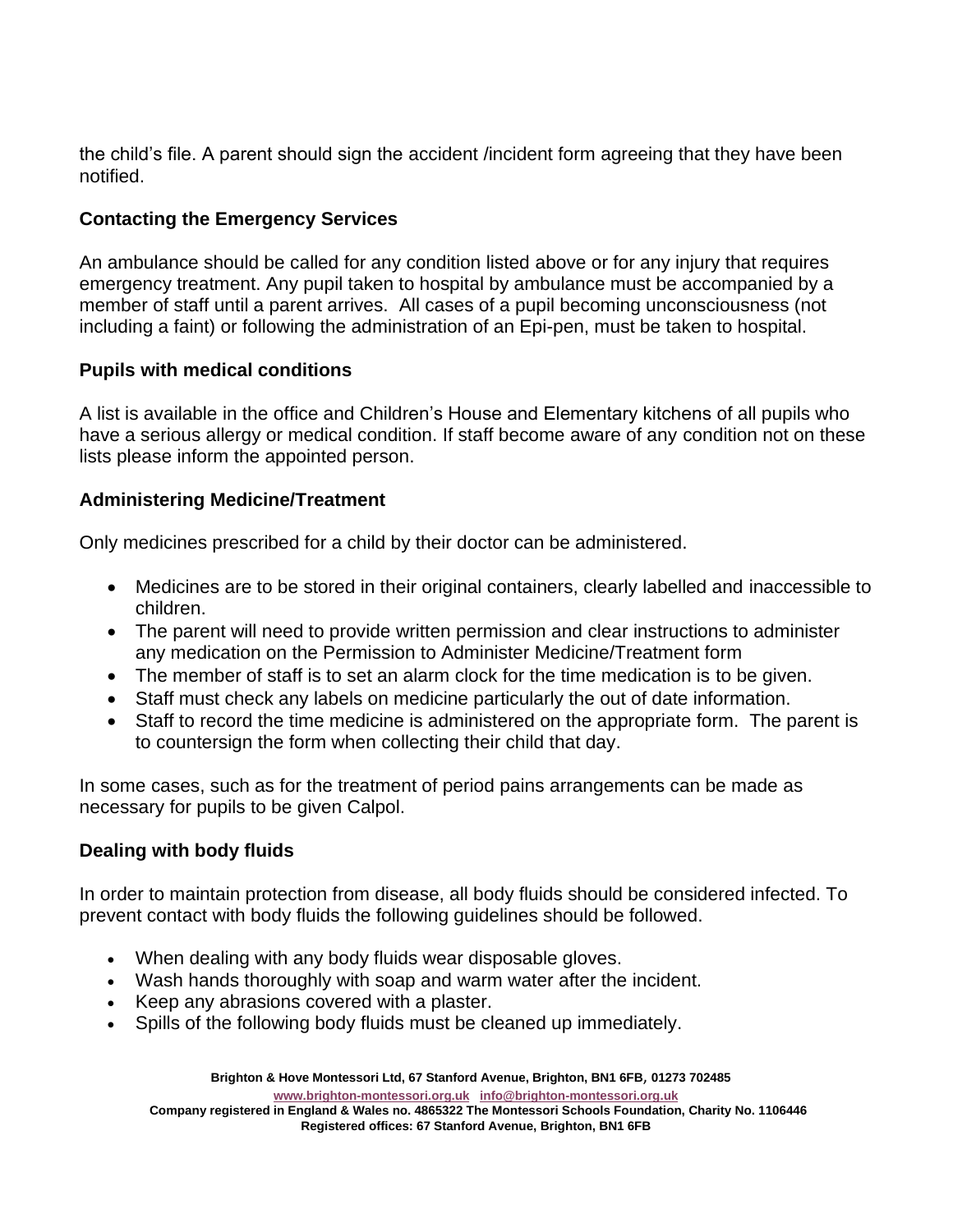the child's file. A parent should sign the accident /incident form agreeing that they have been notified.

# **Contacting the Emergency Services**

An ambulance should be called for any condition listed above or for any injury that requires emergency treatment. Any pupil taken to hospital by ambulance must be accompanied by a member of staff until a parent arrives. All cases of a pupil becoming unconsciousness (not including a faint) or following the administration of an Epi-pen, must be taken to hospital.

# **Pupils with medical conditions**

A list is available in the office and Children's House and Elementary kitchens of all pupils who have a serious allergy or medical condition. If staff become aware of any condition not on these lists please inform the appointed person.

# **Administering Medicine/Treatment**

Only medicines prescribed for a child by their doctor can be administered.

- Medicines are to be stored in their original containers, clearly labelled and inaccessible to children.
- The parent will need to provide written permission and clear instructions to administer any medication on the Permission to Administer Medicine/Treatment form
- The member of staff is to set an alarm clock for the time medication is to be given.
- Staff must check any labels on medicine particularly the out of date information.
- Staff to record the time medicine is administered on the appropriate form. The parent is to countersign the form when collecting their child that day.

In some cases, such as for the treatment of period pains arrangements can be made as necessary for pupils to be given Calpol.

# **Dealing with body fluids**

In order to maintain protection from disease, all body fluids should be considered infected. To prevent contact with body fluids the following guidelines should be followed.

- When dealing with any body fluids wear disposable gloves.
- Wash hands thoroughly with soap and warm water after the incident.
- Keep any abrasions covered with a plaster.
- Spills of the following body fluids must be cleaned up immediately.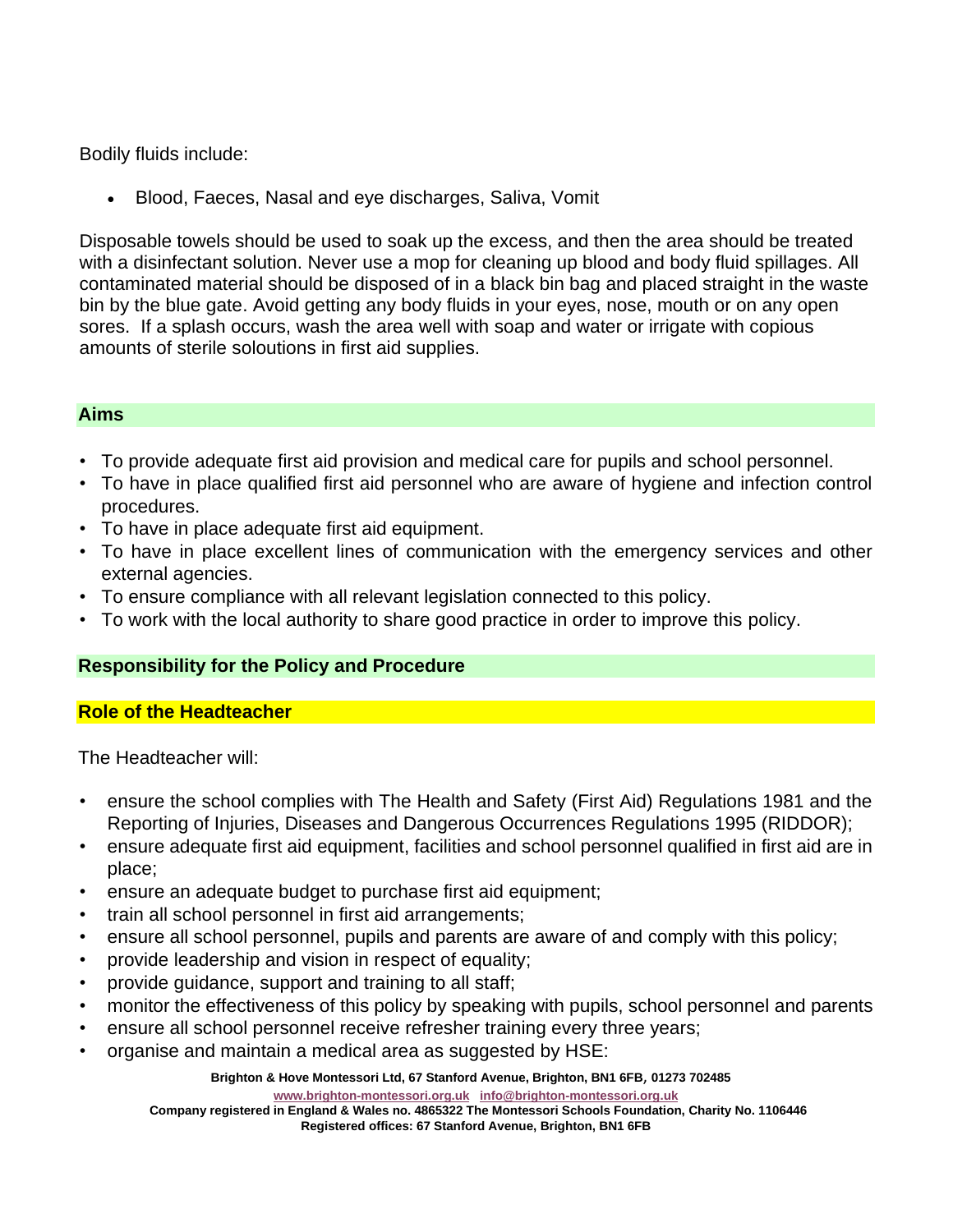Bodily fluids include:

• Blood, Faeces, Nasal and eye discharges, Saliva, Vomit

Disposable towels should be used to soak up the excess, and then the area should be treated with a disinfectant solution. Never use a mop for cleaning up blood and body fluid spillages. All contaminated material should be disposed of in a black bin bag and placed straight in the waste bin by the blue gate. Avoid getting any body fluids in your eyes, nose, mouth or on any open sores. If a splash occurs, wash the area well with soap and water or irrigate with copious amounts of sterile soloutions in first aid supplies.

#### **Aims**

- To provide adequate first aid provision and medical care for pupils and school personnel.
- To have in place qualified first aid personnel who are aware of hygiene and infection control procedures.
- To have in place adequate first aid equipment.
- To have in place excellent lines of communication with the emergency services and other external agencies.
- To ensure compliance with all relevant legislation connected to this policy.
- To work with the local authority to share good practice in order to improve this policy.

### **Responsibility for the Policy and Procedure**

#### **Role of the Headteacher**

The Headteacher will:

- ensure the school complies with The Health and Safety (First Aid) Regulations 1981 and the Reporting of Injuries, Diseases and Dangerous Occurrences Regulations 1995 (RIDDOR);
- ensure adequate first aid equipment, facilities and school personnel qualified in first aid are in place;
- ensure an adequate budget to purchase first aid equipment;
- train all school personnel in first aid arrangements;
- ensure all school personnel, pupils and parents are aware of and comply with this policy;
- provide leadership and vision in respect of equality;
- provide guidance, support and training to all staff;
- monitor the effectiveness of this policy by speaking with pupils, school personnel and parents
- ensure all school personnel receive refresher training every three years;
- organise and maintain a medical area as suggested by HSE:

**Brighton & Hove Montessori Ltd, 67 Stanford Avenue, Brighton, BN1 6FB**, **01273 702485**

**[www.brighton-montessori.org.uk](http://www.brighton-montessori.org.uk/) [info@brighton-montessori.org.uk](mailto:info@brighton-montessori.org.uk)**

**Company registered in England & Wales no. 4865322 The Montessori Schools Foundation, Charity No. 1106446 Registered offices: 67 Stanford Avenue, Brighton, BN1 6FB**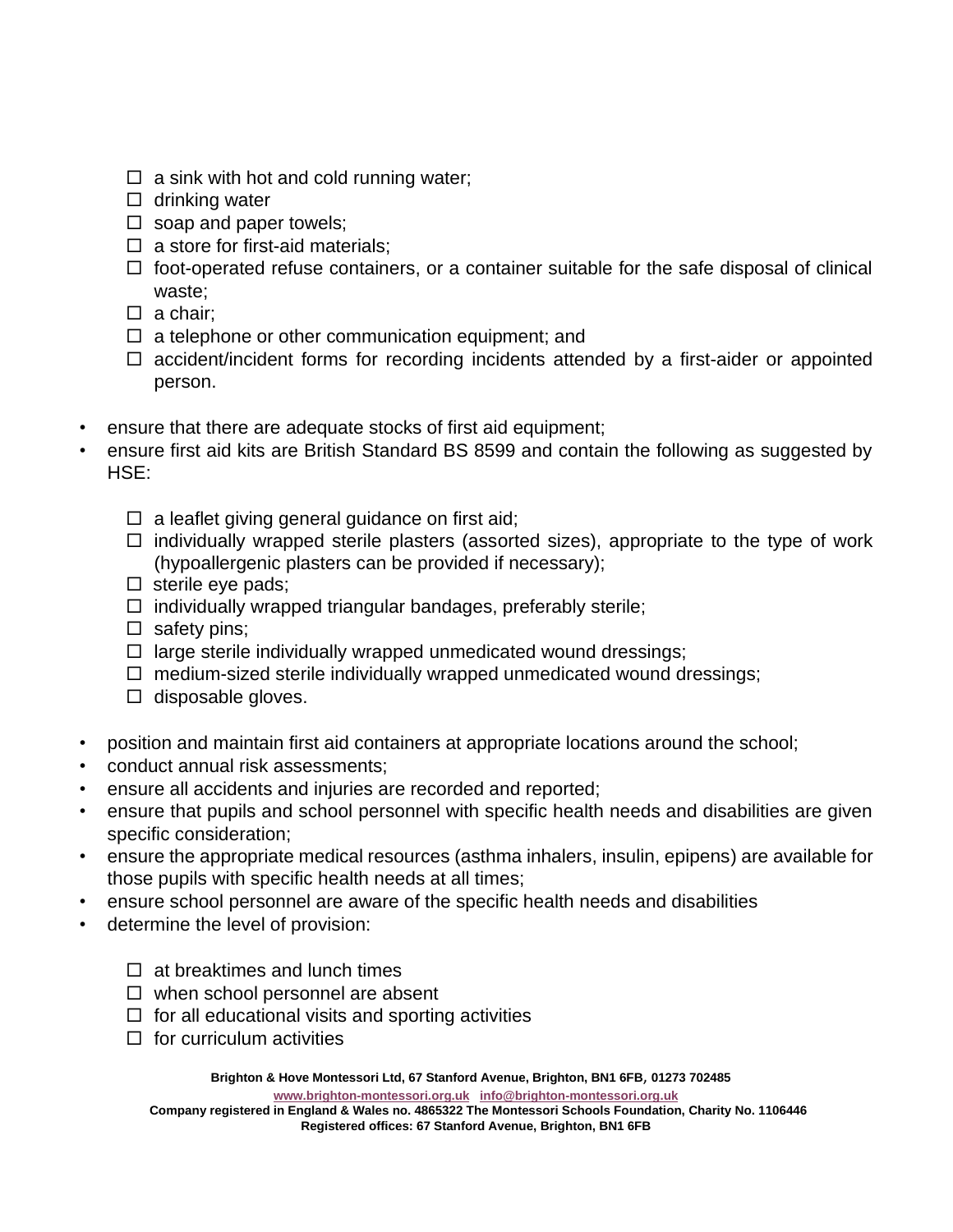- $\Box$  a sink with hot and cold running water;
- $\Box$  drinking water
- $\square$  soap and paper towels;
- $\Box$  a store for first-aid materials;
- $\Box$  foot-operated refuse containers, or a container suitable for the safe disposal of clinical waste;
- $\Box$  a chair:
- $\Box$  a telephone or other communication equipment; and
- $\Box$  accident/incident forms for recording incidents attended by a first-aider or appointed person.
- ensure that there are adequate stocks of first aid equipment;
- ensure first aid kits are British Standard BS 8599 and contain the following as suggested by HSE:
	- $\Box$  a leaflet giving general guidance on first aid;
	- $\Box$  individually wrapped sterile plasters (assorted sizes), appropriate to the type of work (hypoallergenic plasters can be provided if necessary);
	- $\square$  sterile eye pads;
	- $\Box$  individually wrapped triangular bandages, preferably sterile;
	- $\square$  safety pins;
	- $\Box$  large sterile individually wrapped unmedicated wound dressings;
	- $\Box$  medium-sized sterile individually wrapped unmedicated wound dressings;
	- $\Box$  disposable gloves.
- position and maintain first aid containers at appropriate locations around the school;
- conduct annual risk assessments;
- ensure all accidents and injuries are recorded and reported;
- ensure that pupils and school personnel with specific health needs and disabilities are given specific consideration;
- ensure the appropriate medical resources (asthma inhalers, insulin, epipens) are available for those pupils with specific health needs at all times;
- ensure school personnel are aware of the specific health needs and disabilities
- determine the level of provision:
	- $\Box$  at breaktimes and lunch times
	- $\Box$  when school personnel are absent
	- $\Box$  for all educational visits and sporting activities
	- $\Box$  for curriculum activities

**Brighton & Hove Montessori Ltd, 67 Stanford Avenue, Brighton, BN1 6FB**, **01273 702485**

**[www.brighton-montessori.org.uk](http://www.brighton-montessori.org.uk/) [info@brighton-montessori.org.uk](mailto:info@brighton-montessori.org.uk)**

**Company registered in England & Wales no. 4865322 The Montessori Schools Foundation, Charity No. 1106446 Registered offices: 67 Stanford Avenue, Brighton, BN1 6FB**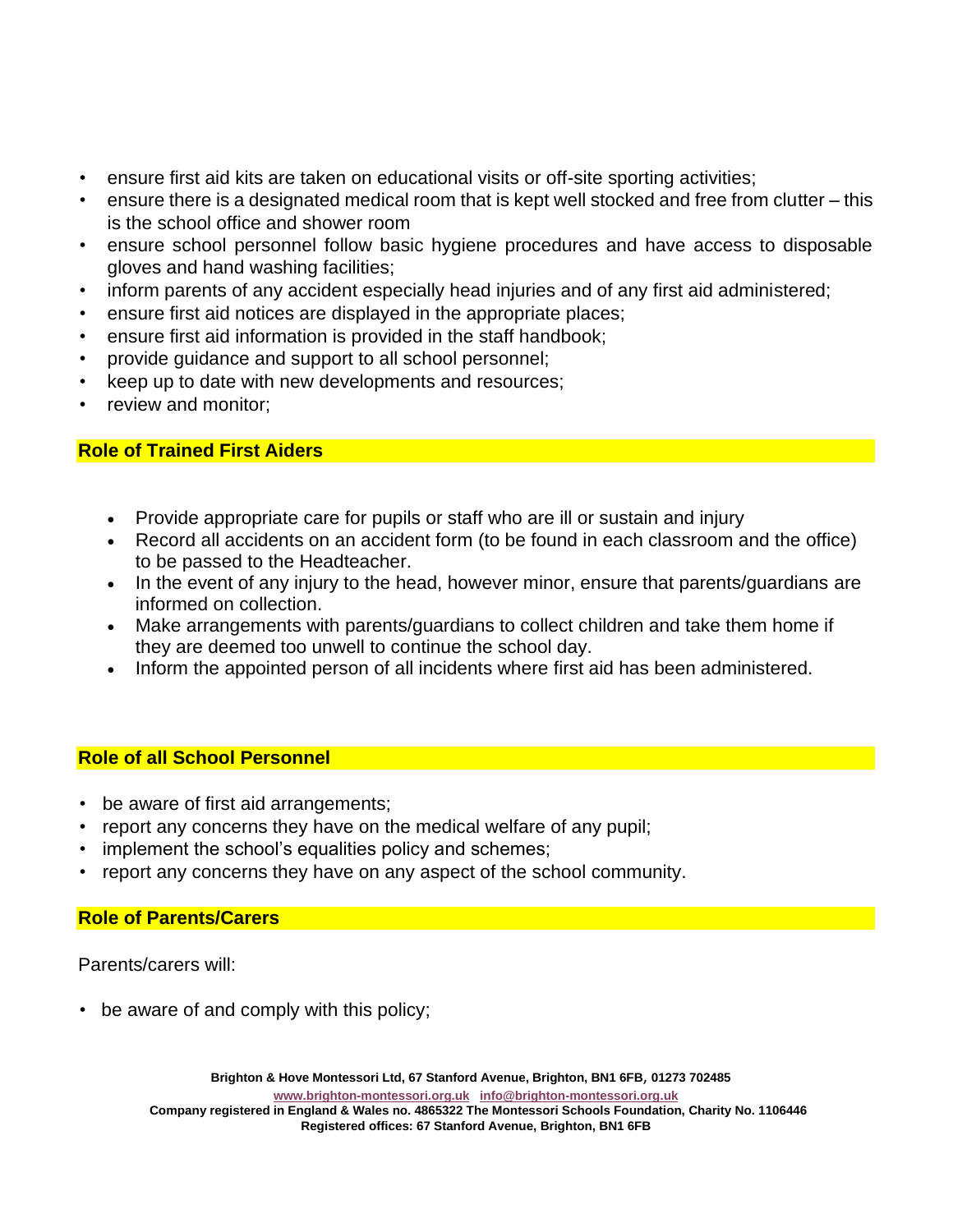- ensure first aid kits are taken on educational visits or off-site sporting activities;
- ensure there is a designated medical room that is kept well stocked and free from clutter this is the school office and shower room
- ensure school personnel follow basic hygiene procedures and have access to disposable gloves and hand washing facilities;
- inform parents of any accident especially head injuries and of any first aid administered;
- ensure first aid notices are displayed in the appropriate places;
- ensure first aid information is provided in the staff handbook;
- provide guidance and support to all school personnel;
- keep up to date with new developments and resources;
- review and monitor:

### **Role of Trained First Aiders**

- Provide appropriate care for pupils or staff who are ill or sustain and injury
- Record all accidents on an accident form (to be found in each classroom and the office) to be passed to the Headteacher.
- In the event of any injury to the head, however minor, ensure that parents/quardians are informed on collection.
- Make arrangements with parents/guardians to collect children and take them home if they are deemed too unwell to continue the school day.
- Inform the appointed person of all incidents where first aid has been administered.

### **Role of all School Personnel**

- be aware of first aid arrangements;
- report any concerns they have on the medical welfare of any pupil;
- implement the school's equalities policy and schemes;
- report any concerns they have on any aspect of the school community.

#### **Role of Parents/Carers**

Parents/carers will:

• be aware of and comply with this policy;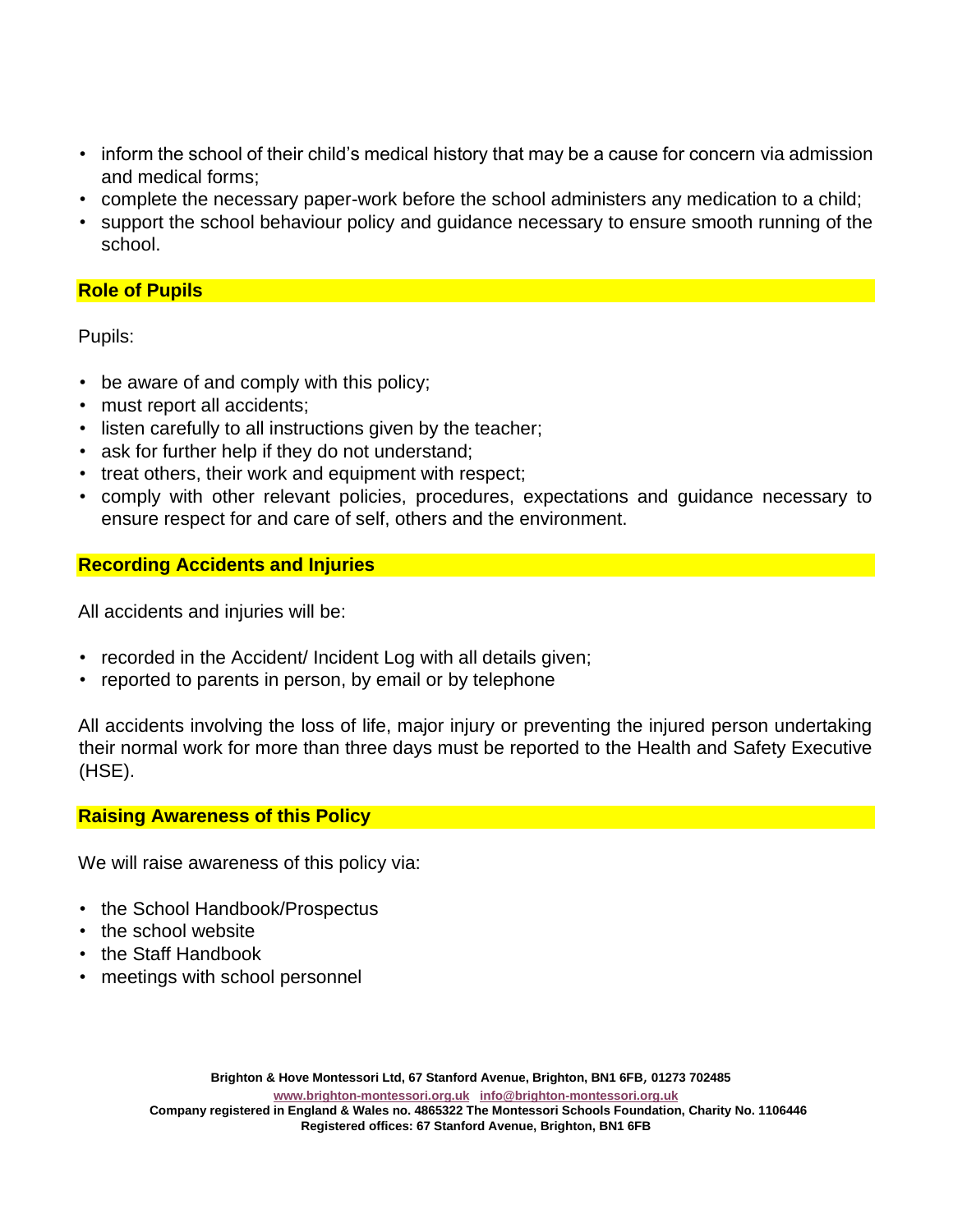- inform the school of their child's medical history that may be a cause for concern via admission and medical forms;
- complete the necessary paper-work before the school administers any medication to a child;
- support the school behaviour policy and guidance necessary to ensure smooth running of the school.

### **Role of Pupils**

Pupils:

- be aware of and comply with this policy;
- must report all accidents;
- listen carefully to all instructions given by the teacher;
- ask for further help if they do not understand;
- treat others, their work and equipment with respect;
- comply with other relevant policies, procedures, expectations and guidance necessary to ensure respect for and care of self, others and the environment.

#### **Recording Accidents and Injuries**

All accidents and injuries will be:

- recorded in the Accident/ Incident Log with all details given;
- reported to parents in person, by email or by telephone

All accidents involving the loss of life, major injury or preventing the injured person undertaking their normal work for more than three days must be reported to the Health and Safety Executive (HSE).

#### **Raising Awareness of this Policy**

We will raise awareness of this policy via:

- the School Handbook/Prospectus
- the school website
- the Staff Handbook
- meetings with school personnel